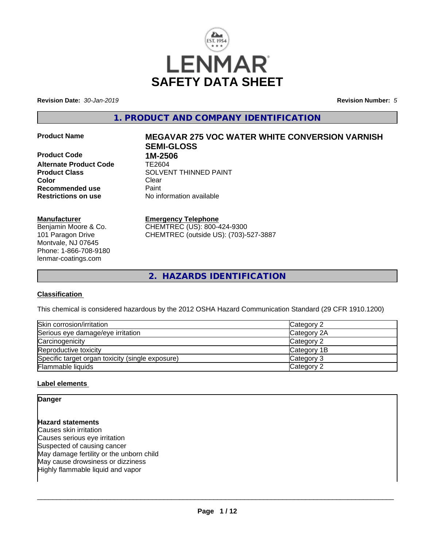

**Revision Date:** *30-Jan-2019* **Revision Number:** *5*

**1. PRODUCT AND COMPANY IDENTIFICATION**

**Product Code 1M-2506 Alternate Product Code** TE2604 **Color** Clear Clear **Recommended use** Paint<br> **Restrictions on use** Mo information available **Restrictions on use** 

# **Manufacturer**

Benjamin Moore & Co. 101 Paragon Drive Montvale, NJ 07645 Phone: 1-866-708-9180 lenmar-coatings.com

# **Product Name MEGAVAR 275 VOC WATER WHITE CONVERSION VARNISH SEMI-GLOSS Product Class SOLVENT THINNED PAINT**

# **Emergency Telephone**

CHEMTREC (US): 800-424-9300 CHEMTREC (outside US): (703)-527-3887

**2. HAZARDS IDENTIFICATION**

# **Classification**

This chemical is considered hazardous by the 2012 OSHA Hazard Communication Standard (29 CFR 1910.1200)

| Skin corrosion/irritation                        | Category 2  |
|--------------------------------------------------|-------------|
| Serious eye damage/eye irritation                | Category 2A |
| Carcinogenicity                                  | Category 2  |
| Reproductive toxicity                            | Category 1B |
| Specific target organ toxicity (single exposure) | Category 3  |
| Flammable liquids                                | Category 2  |

# **Label elements**

# **Danger Hazard statements** Causes skin irritation Causes serious eye irritation Suspected of causing cancer May damage fertility or the unborn child May cause drowsiness or dizziness Highly flammable liquid and vapor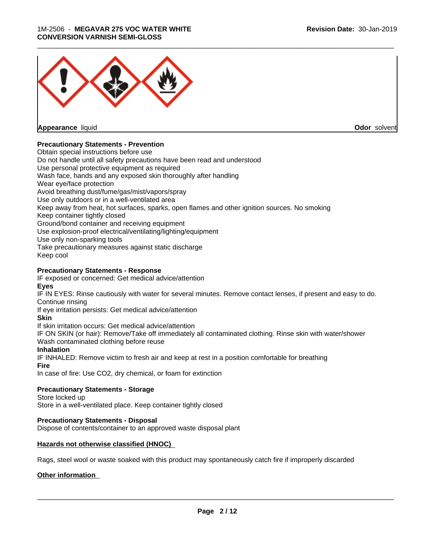#### 1M-2506 - **MEGAVAR 275 VOC WATER WHITE CONVERSION VARNISH SEMI-GLOSS**



**Appearance** liquid **Odor** solvent

# **Precautionary Statements - Prevention**

Obtain special instructions before use Do not handle until all safety precautions have been read and understood Use personal protective equipment as required Wash face, hands and any exposed skin thoroughly after handling Wear eye/face protection Avoid breathing dust/fume/gas/mist/vapors/spray Use only outdoors or in a well-ventilated area Keep away from heat, hot surfaces, sparks, open flames and other ignition sources. No smoking Keep container tightly closed Ground/bond container and receiving equipment Use explosion-proof electrical/ventilating/lighting/equipment Use only non-sparking tools Take precautionary measures against static discharge Keep cool **Precautionary Statements - Response**

IF exposed or concerned: Get medical advice/attention **Eyes**

IF IN EYES: Rinse cautiously with water for several minutes. Remove contact lenses, if present and easy to do. Continue rinsing

If eye irritation persists: Get medical advice/attention

**Skin**

If skin irritation occurs: Get medical advice/attention

IF ON SKIN (or hair): Remove/Take off immediately all contaminated clothing. Rinse skin with water/shower Wash contaminated clothing before reuse

# **Inhalation**

IF INHALED: Remove victim to fresh air and keep at rest in a position comfortable for breathing **Fire**

In case of fire: Use CO2, dry chemical, or foam for extinction

# **Precautionary Statements - Storage**

Store locked up

Store in a well-ventilated place. Keep container tightly closed

# **Precautionary Statements - Disposal**

Dispose of contents/container to an approved waste disposal plant

# **Hazards not otherwise classified (HNOC)**

Rags, steel wool or waste soaked with this product may spontaneously catch fire if improperly discarded

# **Other information**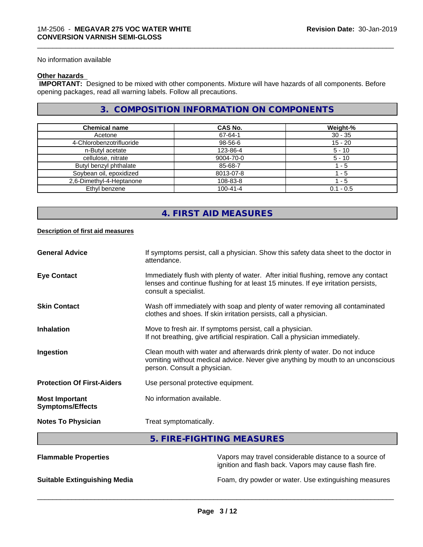No information available

# **Other hazards**

 **IMPORTANT:** Designed to be mixed with other components. Mixture will have hazards of all components. Before opening packages, read all warning labels. Follow all precautions.

# **3. COMPOSITION INFORMATION ON COMPONENTS**

\_\_\_\_\_\_\_\_\_\_\_\_\_\_\_\_\_\_\_\_\_\_\_\_\_\_\_\_\_\_\_\_\_\_\_\_\_\_\_\_\_\_\_\_\_\_\_\_\_\_\_\_\_\_\_\_\_\_\_\_\_\_\_\_\_\_\_\_\_\_\_\_\_\_\_\_\_\_\_\_\_\_\_\_\_\_\_\_\_\_\_\_\_

| <b>Chemical name</b>     | CAS No.        | Weight-%    |
|--------------------------|----------------|-------------|
| Acetone                  | 67-64-1        | $30 - 35$   |
| 4-Chlorobenzotrifluoride | 98-56-6        | $15 - 20$   |
| n-Butyl acetate          | 123-86-4       | $5 - 10$    |
| cellulose, nitrate       | 9004-70-0      | $5 - 10$    |
| Butyl benzyl phthalate   | 85-68-7        | - 5         |
| Soybean oil, epoxidized  | 8013-07-8      | - 5         |
| 2,6-Dimethyl-4-Heptanone | 108-83-8       | l - 5       |
| Ethyl benzene            | $100 - 41 - 4$ | $0.1 - 0.5$ |

# **4. FIRST AID MEASURES**

#### **Description of first aid measures**

| <b>General Advice</b>                            | If symptoms persist, call a physician. Show this safety data sheet to the doctor in<br>attendance.                                                                                               |
|--------------------------------------------------|--------------------------------------------------------------------------------------------------------------------------------------------------------------------------------------------------|
| <b>Eye Contact</b>                               | Immediately flush with plenty of water. After initial flushing, remove any contact<br>lenses and continue flushing for at least 15 minutes. If eye irritation persists,<br>consult a specialist. |
| <b>Skin Contact</b>                              | Wash off immediately with soap and plenty of water removing all contaminated<br>clothes and shoes. If skin irritation persists, call a physician.                                                |
| <b>Inhalation</b>                                | Move to fresh air. If symptoms persist, call a physician.<br>If not breathing, give artificial respiration. Call a physician immediately.                                                        |
| Ingestion                                        | Clean mouth with water and afterwards drink plenty of water. Do not induce<br>vomiting without medical advice. Never give anything by mouth to an unconscious<br>person. Consult a physician.    |
| <b>Protection Of First-Aiders</b>                | Use personal protective equipment.                                                                                                                                                               |
| <b>Most Important</b><br><b>Symptoms/Effects</b> | No information available.                                                                                                                                                                        |
| <b>Notes To Physician</b>                        | Treat symptomatically.                                                                                                                                                                           |
|                                                  | FIRE FIQUEINA MEMOURER                                                                                                                                                                           |

# **5. FIRE-FIGHTING MEASURES**

| <b>Flammable Properties</b>         | Vapors may travel considerable distance to a source of<br>ignition and flash back. Vapors may cause flash fire. |
|-------------------------------------|-----------------------------------------------------------------------------------------------------------------|
| <b>Suitable Extinguishing Media</b> | Foam, dry powder or water. Use extinguishing measures                                                           |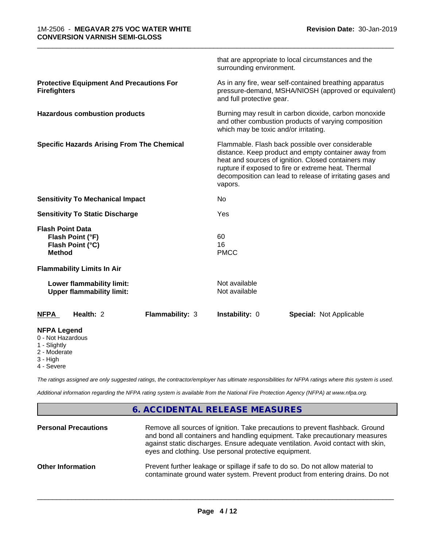|                                                                                     |                        | surrounding environment.                                                                                                                                                                                                                                                                       | that are appropriate to local circumstances and the |  |
|-------------------------------------------------------------------------------------|------------------------|------------------------------------------------------------------------------------------------------------------------------------------------------------------------------------------------------------------------------------------------------------------------------------------------|-----------------------------------------------------|--|
| <b>Protective Equipment And Precautions For</b><br><b>Firefighters</b>              |                        | As in any fire, wear self-contained breathing apparatus<br>pressure-demand, MSHA/NIOSH (approved or equivalent)<br>and full protective gear.                                                                                                                                                   |                                                     |  |
| <b>Hazardous combustion products</b>                                                |                        | Burning may result in carbon dioxide, carbon monoxide<br>and other combustion products of varying composition<br>which may be toxic and/or irritating.                                                                                                                                         |                                                     |  |
| <b>Specific Hazards Arising From The Chemical</b>                                   |                        | Flammable. Flash back possible over considerable<br>distance. Keep product and empty container away from<br>heat and sources of ignition. Closed containers may<br>rupture if exposed to fire or extreme heat. Thermal<br>decomposition can lead to release of irritating gases and<br>vapors. |                                                     |  |
| <b>Sensitivity To Mechanical Impact</b>                                             |                        | No                                                                                                                                                                                                                                                                                             |                                                     |  |
| <b>Sensitivity To Static Discharge</b>                                              |                        | Yes                                                                                                                                                                                                                                                                                            |                                                     |  |
| <b>Flash Point Data</b><br>Flash Point (°F)<br>Flash Point (°C)<br><b>Method</b>    |                        | 60<br>16<br><b>PMCC</b>                                                                                                                                                                                                                                                                        |                                                     |  |
| <b>Flammability Limits In Air</b>                                                   |                        |                                                                                                                                                                                                                                                                                                |                                                     |  |
| Lower flammability limit:<br><b>Upper flammability limit:</b>                       |                        | Not available<br>Not available                                                                                                                                                                                                                                                                 |                                                     |  |
| Health: 2<br><b>NFPA</b>                                                            | <b>Flammability: 3</b> | Instability: 0                                                                                                                                                                                                                                                                                 | <b>Special: Not Applicable</b>                      |  |
| <b>NFPA Legend</b><br>0 - Not Hazardous<br>1 - Slightly<br>2 - Moderate<br>3 - High |                        |                                                                                                                                                                                                                                                                                                |                                                     |  |

4 - Severe

*The ratings assigned are only suggested ratings, the contractor/employer has ultimate responsibilities for NFPA ratings where this system is used.*

*Additional information regarding the NFPA rating system is available from the National Fire Protection Agency (NFPA) at www.nfpa.org.*

# **6. ACCIDENTAL RELEASE MEASURES**

| <b>Personal Precautions</b> | Remove all sources of ignition. Take precautions to prevent flashback. Ground<br>and bond all containers and handling equipment. Take precautionary measures<br>against static discharges. Ensure adequate ventilation. Avoid contact with skin,<br>eyes and clothing. Use personal protective equipment. |
|-----------------------------|-----------------------------------------------------------------------------------------------------------------------------------------------------------------------------------------------------------------------------------------------------------------------------------------------------------|
| <b>Other Information</b>    | Prevent further leakage or spillage if safe to do so. Do not allow material to<br>contaminate ground water system. Prevent product from entering drains. Do not                                                                                                                                           |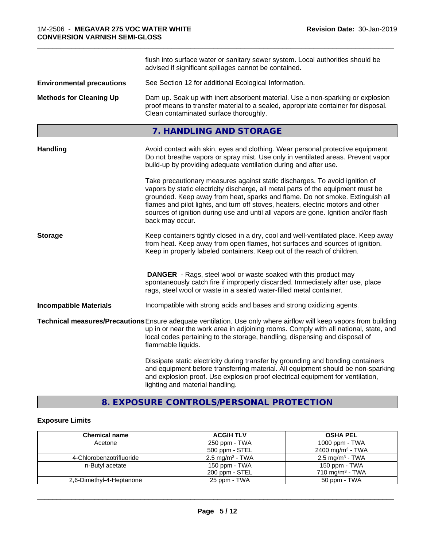|                                  | flush into surface water or sanitary sewer system. Local authorities should be<br>advised if significant spillages cannot be contained.                                                                                                                                                                                                                                                                                                        |
|----------------------------------|------------------------------------------------------------------------------------------------------------------------------------------------------------------------------------------------------------------------------------------------------------------------------------------------------------------------------------------------------------------------------------------------------------------------------------------------|
| <b>Environmental precautions</b> | See Section 12 for additional Ecological Information.                                                                                                                                                                                                                                                                                                                                                                                          |
| <b>Methods for Cleaning Up</b>   | Dam up. Soak up with inert absorbent material. Use a non-sparking or explosion<br>proof means to transfer material to a sealed, appropriate container for disposal.<br>Clean contaminated surface thoroughly.                                                                                                                                                                                                                                  |
|                                  | 7. HANDLING AND STORAGE                                                                                                                                                                                                                                                                                                                                                                                                                        |
| <b>Handling</b>                  | Avoid contact with skin, eyes and clothing. Wear personal protective equipment.<br>Do not breathe vapors or spray mist. Use only in ventilated areas. Prevent vapor<br>build-up by providing adequate ventilation during and after use.                                                                                                                                                                                                        |
|                                  | Take precautionary measures against static discharges. To avoid ignition of<br>vapors by static electricity discharge, all metal parts of the equipment must be<br>grounded. Keep away from heat, sparks and flame. Do not smoke. Extinguish all<br>flames and pilot lights, and turn off stoves, heaters, electric motors and other<br>sources of ignition during use and until all vapors are gone. Ignition and/or flash<br>back may occur. |
| <b>Storage</b>                   | Keep containers tightly closed in a dry, cool and well-ventilated place. Keep away<br>from heat. Keep away from open flames, hot surfaces and sources of ignition.<br>Keep in properly labeled containers. Keep out of the reach of children.                                                                                                                                                                                                  |
|                                  | <b>DANGER</b> - Rags, steel wool or waste soaked with this product may<br>spontaneously catch fire if improperly discarded. Immediately after use, place<br>rags, steel wool or waste in a sealed water-filled metal container.                                                                                                                                                                                                                |
| <b>Incompatible Materials</b>    | Incompatible with strong acids and bases and strong oxidizing agents.                                                                                                                                                                                                                                                                                                                                                                          |
|                                  | Technical measures/Precautions Ensure adequate ventilation. Use only where airflow will keep vapors from building<br>up in or near the work area in adjoining rooms. Comply with all national, state, and<br>local codes pertaining to the storage, handling, dispensing and disposal of<br>flammable liquids.                                                                                                                                 |
|                                  | Dissipate static electricity during transfer by grounding and bonding containers<br>and equipment before transferring material. All equipment should be non-sparking<br>and explosion proof. Use explosion proof electrical equipment for ventilation,<br>lighting and material handling.                                                                                                                                                      |

# **8. EXPOSURE CONTROLS/PERSONAL PROTECTION**

# **Exposure Limits**

| <b>Chemical name</b>     | <b>ACGIH TLV</b>           | <b>OSHA PEL</b>              |
|--------------------------|----------------------------|------------------------------|
| Acetone                  | 250 ppm - TWA              | 1000 ppm - TWA               |
|                          | 500 ppm - STEL             | 2400 mg/m <sup>3</sup> - TWA |
| 4-Chlorobenzotrifluoride | $2.5 \text{ mg/m}^3$ - TWA | $2.5 \text{ mg/m}^3$ - TWA   |
| n-Butyl acetate          | 150 ppm - TWA              | 150 ppm - TWA                |
|                          | 200 ppm - STEL             | 710 mg/m <sup>3</sup> - TWA  |
| 2,6-Dimethyl-4-Heptanone | 25 ppm - TWA               | 50 ppm - TWA                 |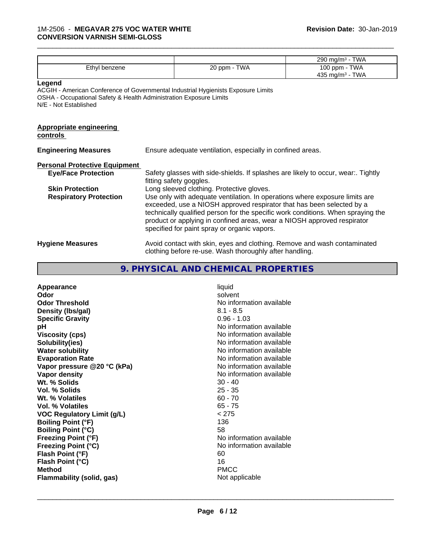|                                                                                                                                                                |                                                                                                                                                                                                                                                                                                                                                                     | 290 mg/m <sup>3</sup> - TWA                  |
|----------------------------------------------------------------------------------------------------------------------------------------------------------------|---------------------------------------------------------------------------------------------------------------------------------------------------------------------------------------------------------------------------------------------------------------------------------------------------------------------------------------------------------------------|----------------------------------------------|
| Ethyl benzene                                                                                                                                                  | 20 ppm - TWA                                                                                                                                                                                                                                                                                                                                                        | 100 ppm - TWA<br>435 mg/m <sup>3</sup> - TWA |
| Legend<br>OSHA - Occupational Safety & Health Administration Exposure Limits<br>N/E - Not Established                                                          | ACGIH - American Conference of Governmental Industrial Hygienists Exposure Limits                                                                                                                                                                                                                                                                                   |                                              |
| <b>Appropriate engineering</b><br>controls                                                                                                                     |                                                                                                                                                                                                                                                                                                                                                                     |                                              |
| <b>Engineering Measures</b>                                                                                                                                    | Ensure adequate ventilation, especially in confined areas.                                                                                                                                                                                                                                                                                                          |                                              |
| <b>Personal Protective Equipment</b>                                                                                                                           |                                                                                                                                                                                                                                                                                                                                                                     |                                              |
| <b>Eye/Face Protection</b>                                                                                                                                     | Safety glasses with side-shields. If splashes are likely to occur, wear Tightly<br>fitting safety goggles.                                                                                                                                                                                                                                                          |                                              |
| <b>Skin Protection</b>                                                                                                                                         | Long sleeved clothing. Protective gloves.                                                                                                                                                                                                                                                                                                                           |                                              |
| <b>Respiratory Protection</b>                                                                                                                                  | Use only with adequate ventilation. In operations where exposure limits are<br>exceeded, use a NIOSH approved respirator that has been selected by a<br>technically qualified person for the specific work conditions. When spraying the<br>product or applying in confined areas, wear a NIOSH approved respirator<br>specified for paint spray or organic vapors. |                                              |
| Avoid contact with skin, eyes and clothing. Remove and wash contaminated<br><b>Hygiene Measures</b><br>clothing before re-use. Wash thoroughly after handling. |                                                                                                                                                                                                                                                                                                                                                                     |                                              |

# **9. PHYSICAL AND CHEMICAL PROPERTIES**

| Appearance                        | liquid                   |
|-----------------------------------|--------------------------|
| Odor                              | solvent                  |
| <b>Odor Threshold</b>             | No information available |
| Density (Ibs/gal)                 | $8.1 - 8.5$              |
| <b>Specific Gravity</b>           | $0.96 - 1.03$            |
| рH                                | No information available |
| <b>Viscosity (cps)</b>            | No information available |
| Solubility(ies)                   | No information available |
| <b>Water solubility</b>           | No information available |
| <b>Evaporation Rate</b>           | No information available |
| Vapor pressure @20 °C (kPa)       | No information available |
| Vapor density                     | No information available |
| Wt. % Solids                      | $30 - 40$                |
| <b>Vol. % Solids</b>              | $25 - 35$                |
| Wt. % Volatiles                   | $60 - 70$                |
| Vol. % Volatiles                  | $65 - 75$                |
| <b>VOC Regulatory Limit (g/L)</b> | < 275                    |
| <b>Boiling Point (°F)</b>         | 136                      |
| <b>Boiling Point (°C)</b>         | 58                       |
| <b>Freezing Point (°F)</b>        | No information available |
| <b>Freezing Point (°C)</b>        | No information available |
| Flash Point (°F)                  | 60                       |
| Flash Point (°C)                  | 16                       |
| <b>Method</b>                     | <b>PMCC</b>              |
| Flammability (solid, gas)         | Not applicable           |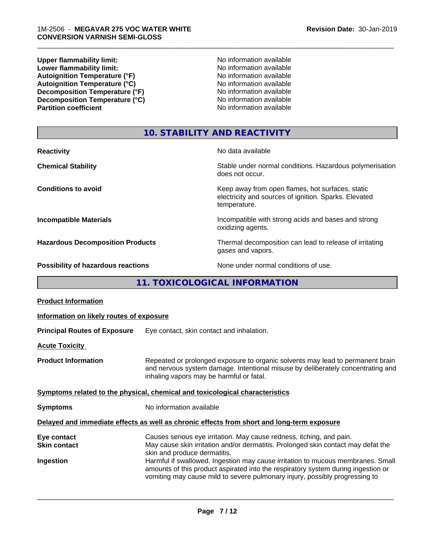**Upper flammability limit:**<br> **Lower flammability limit:** No information available<br>
No information available **Lower flammability limit:**<br> **Autoignition Temperature (°F)**<br>
Mo information available<br>
No information available Autoignition Temperature (°F)<br>
Autoignition Temperature (°C)<br>
No information available Autoignition Temperature (°C)<br>
Decomposition Temperature (°F)<br>
No information available **Decomposition Temperature (°F)**<br> **Decomposition Temperature (°C)**<br>
No information available<br>
No information available **Decomposition Temperature (°C) Partition coefficient** 

\_\_\_\_\_\_\_\_\_\_\_\_\_\_\_\_\_\_\_\_\_\_\_\_\_\_\_\_\_\_\_\_\_\_\_\_\_\_\_\_\_\_\_\_\_\_\_\_\_\_\_\_\_\_\_\_\_\_\_\_\_\_\_\_\_\_\_\_\_\_\_\_\_\_\_\_\_\_\_\_\_\_\_\_\_\_\_\_\_\_\_\_\_

# **10. STABILITY AND REACTIVITY**

| <b>Reactivity</b>                       | No data available                                                                                                         |
|-----------------------------------------|---------------------------------------------------------------------------------------------------------------------------|
| <b>Chemical Stability</b>               | Stable under normal conditions. Hazardous polymerisation<br>does not occur.                                               |
| <b>Conditions to avoid</b>              | Keep away from open flames, hot surfaces, static<br>electricity and sources of ignition. Sparks. Elevated<br>temperature. |
| <b>Incompatible Materials</b>           | Incompatible with strong acids and bases and strong<br>oxidizing agents.                                                  |
| <b>Hazardous Decomposition Products</b> | Thermal decomposition can lead to release of irritating<br>gases and vapors.                                              |
| Possibility of hazardous reactions      | None under normal conditions of use.                                                                                      |

# **11. TOXICOLOGICAL INFORMATION**

| <b>Product Information</b>                      |                                                                                                                                                                                                                                                                                                                                                                                                                                                  |  |  |
|-------------------------------------------------|--------------------------------------------------------------------------------------------------------------------------------------------------------------------------------------------------------------------------------------------------------------------------------------------------------------------------------------------------------------------------------------------------------------------------------------------------|--|--|
| Information on likely routes of exposure        |                                                                                                                                                                                                                                                                                                                                                                                                                                                  |  |  |
| <b>Principal Routes of Exposure</b>             | Eye contact, skin contact and inhalation.                                                                                                                                                                                                                                                                                                                                                                                                        |  |  |
| <b>Acute Toxicity</b>                           |                                                                                                                                                                                                                                                                                                                                                                                                                                                  |  |  |
| <b>Product Information</b>                      | Repeated or prolonged exposure to organic solvents may lead to permanent brain<br>and nervous system damage. Intentional misuse by deliberately concentrating and<br>inhaling vapors may be harmful or fatal.                                                                                                                                                                                                                                    |  |  |
|                                                 | Symptoms related to the physical, chemical and toxicological characteristics                                                                                                                                                                                                                                                                                                                                                                     |  |  |
| <b>Symptoms</b>                                 | No information available                                                                                                                                                                                                                                                                                                                                                                                                                         |  |  |
|                                                 | Delayed and immediate effects as well as chronic effects from short and long-term exposure                                                                                                                                                                                                                                                                                                                                                       |  |  |
| Eye contact<br><b>Skin contact</b><br>Ingestion | Causes serious eye irritation. May cause redness, itching, and pain.<br>May cause skin irritation and/or dermatitis. Prolonged skin contact may defat the<br>skin and produce dermatitis.<br>Harmful if swallowed. Ingestion may cause irritation to mucous membranes. Small<br>amounts of this product aspirated into the respiratory system during ingestion or<br>vomiting may cause mild to severe pulmonary injury, possibly progressing to |  |  |
|                                                 |                                                                                                                                                                                                                                                                                                                                                                                                                                                  |  |  |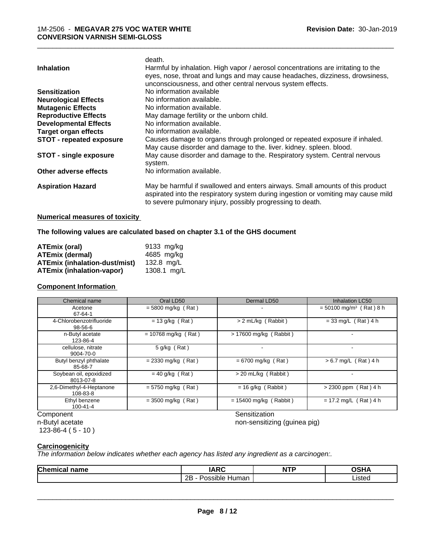|                               | death.                                                                            |
|-------------------------------|-----------------------------------------------------------------------------------|
| <b>Inhalation</b>             | Harmful by inhalation. High vapor / aerosol concentrations are irritating to the  |
|                               | eyes, nose, throat and lungs and may cause headaches, dizziness, drowsiness,      |
|                               | unconsciousness, and other central nervous system effects.                        |
| <b>Sensitization</b>          | No information available                                                          |
| <b>Neurological Effects</b>   | No information available.                                                         |
| <b>Mutagenic Effects</b>      | No information available.                                                         |
| <b>Reproductive Effects</b>   | May damage fertility or the unborn child.                                         |
| <b>Developmental Effects</b>  | No information available.                                                         |
| <b>Target organ effects</b>   | No information available.                                                         |
| STOT - repeated exposure      | Causes damage to organs through prolonged or repeated exposure if inhaled.        |
|                               | May cause disorder and damage to the. liver. kidney. spleen. blood.               |
| <b>STOT - single exposure</b> | May cause disorder and damage to the. Respiratory system. Central nervous         |
|                               | system.                                                                           |
| Other adverse effects         | No information available.                                                         |
| <b>Aspiration Hazard</b>      | May be harmful if swallowed and enters airways. Small amounts of this product     |
|                               | aspirated into the respiratory system during ingestion or vomiting may cause mild |
|                               | to severe pulmonary injury, possibly progressing to death.                        |
|                               |                                                                                   |

# **Numerical measures of toxicity**

**The following values are calculated based on chapter 3.1 of the GHS document**

| <b>ATEmix (oral)</b>                 | 9133 mg/ka  |
|--------------------------------------|-------------|
| <b>ATEmix (dermal)</b>               | 4685 mg/kg  |
| <b>ATEmix (inhalation-dust/mist)</b> | 132.8 ma/L  |
| <b>ATEmix (inhalation-vapor)</b>     | 1308.1 mg/L |

# **Component Information**

| Chemical name                        | Oral LD50             | Dermal LD50              | <b>Inhalation LC50</b>                |
|--------------------------------------|-----------------------|--------------------------|---------------------------------------|
| Acetone<br>67-64-1                   | $= 5800$ mg/kg (Rat)  |                          | $= 50100$ mg/m <sup>3</sup> (Rat) 8 h |
| 4-Chlorobenzotrifluoride<br>98-56-6  | $= 13$ g/kg (Rat)     | > 2 mL/kg (Rabbit)       | $= 33$ mg/L (Rat) 4 h                 |
| n-Butyl acetate<br>123-86-4          | $= 10768$ mg/kg (Rat) | $> 17600$ mg/kg (Rabbit) |                                       |
| cellulose, nitrate<br>9004-70-0      | 5 g/kg (Rat)          |                          |                                       |
| Butyl benzyl phthalate<br>85-68-7    | $= 2330$ mg/kg (Rat)  | $= 6700$ mg/kg (Rat)     | $> 6.7$ mg/L (Rat) 4 h                |
| Soybean oil, epoxidized<br>8013-07-8 | $= 40$ g/kg (Rat)     | > 20 mL/kg (Rabbit)      |                                       |
| 2,6-Dimethyl-4-Heptanone<br>108-83-8 | $= 5750$ mg/kg (Rat)  | $= 16$ g/kg (Rabbit)     | $> 2300$ ppm (Rat) 4 h                |
| Ethyl benzene<br>100-41-4            | $= 3500$ mg/kg (Rat)  | $= 15400$ mg/kg (Rabbit) | $= 17.2$ mg/L (Rat) 4 h               |
| Component                            |                       | Sensitization            |                                       |

n-Butyl acetate

 $123-86-4(5-10)$ 

 $\overline{\phantom{a}}$  ,  $\overline{\phantom{a}}$  ,  $\overline{\phantom{a}}$  ,  $\overline{\phantom{a}}$  ,  $\overline{\phantom{a}}$  ,  $\overline{\phantom{a}}$  ,  $\overline{\phantom{a}}$  ,  $\overline{\phantom{a}}$  ,  $\overline{\phantom{a}}$  ,  $\overline{\phantom{a}}$  ,  $\overline{\phantom{a}}$  ,  $\overline{\phantom{a}}$  ,  $\overline{\phantom{a}}$  ,  $\overline{\phantom{a}}$  ,  $\overline{\phantom{a}}$  ,  $\overline{\phantom{a}}$ 

non-sensitizing (guinea pig)

# **Carcinogenicity**

*The information below indicateswhether each agency has listed any ingredient as a carcinogen:.*

| Chem<br>name<br>ne<br>наг | IADC<br>INIV                                               | <b>NTP</b> | <b>OCU</b> |
|---------------------------|------------------------------------------------------------|------------|------------|
|                           | <br>റല<br>uman<br>'sın.<br><b>nur</b><br><u>_ _</u><br>. . |            |            |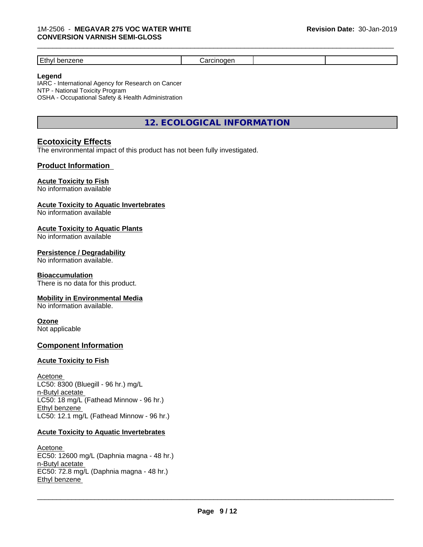| . .<br>-- |  |  |
|-----------|--|--|

# **Legend**

IARC - International Agency for Research on Cancer NTP - National Toxicity Program OSHA - Occupational Safety & Health Administration

**12. ECOLOGICAL INFORMATION**

# **Ecotoxicity Effects**

The environmental impact of this product has not been fully investigated.

# **Product Information**

# **Acute Toxicity to Fish**

No information available

# **Acute Toxicity to Aquatic Invertebrates**

No information available

# **Acute Toxicity to Aquatic Plants**

No information available

# **Persistence / Degradability**

No information available.

#### **Bioaccumulation**

There is no data for this product.

# **Mobility in Environmental Media**

No information available.

# **Ozone**

Not applicable

# **Component Information**

# **Acute Toxicity to Fish**

Acetone LC50: 8300 (Bluegill - 96 hr.) mg/L n-Butyl acetate LC50: 18 mg/L (Fathead Minnow - 96 hr.) Ethyl benzene LC50: 12.1 mg/L (Fathead Minnow - 96 hr.)

# **Acute Toxicity to Aquatic Invertebrates**

Acetone EC50: 12600 mg/L (Daphnia magna - 48 hr.) n-Butyl acetate EC50: 72.8 mg/L (Daphnia magna - 48 hr.) Ethyl benzene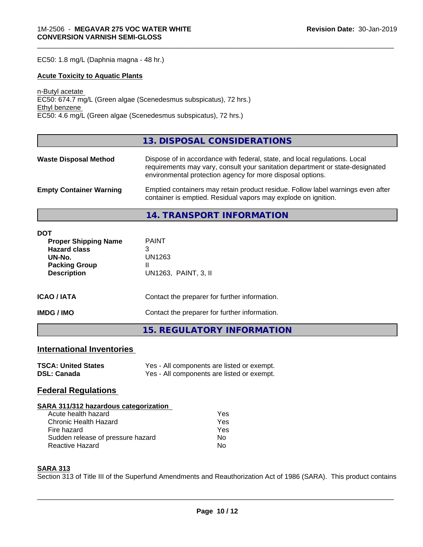EC50: 1.8 mg/L (Daphnia magna - 48 hr.)

# **Acute Toxicity to Aquatic Plants**

n-Butyl acetate EC50: 674.7 mg/L (Green algae (Scenedesmus subspicatus), 72 hrs.) Ethyl benzene EC50: 4.6 mg/L (Green algae (Scenedesmus subspicatus), 72 hrs.)

# **13. DISPOSAL CONSIDERATIONS**

\_\_\_\_\_\_\_\_\_\_\_\_\_\_\_\_\_\_\_\_\_\_\_\_\_\_\_\_\_\_\_\_\_\_\_\_\_\_\_\_\_\_\_\_\_\_\_\_\_\_\_\_\_\_\_\_\_\_\_\_\_\_\_\_\_\_\_\_\_\_\_\_\_\_\_\_\_\_\_\_\_\_\_\_\_\_\_\_\_\_\_\_\_

| <b>Waste Disposal Method</b>   | Dispose of in accordance with federal, state, and local regulations. Local<br>requirements may vary, consult your sanitation department or state-designated<br>environmental protection agency for more disposal options. |
|--------------------------------|---------------------------------------------------------------------------------------------------------------------------------------------------------------------------------------------------------------------------|
| <b>Empty Container Warning</b> | Emptied containers may retain product residue. Follow label warnings even after<br>container is emptied. Residual vapors may explode on ignition.                                                                         |

**14. TRANSPORT INFORMATION**

| <b>DOT</b><br><b>Proper Shipping Name</b><br><b>Hazard class</b><br>UN-No.<br><b>Packing Group</b><br><b>Description</b> | <b>PAINT</b><br>3<br>UN1263<br>Ш<br>UN1263, PAINT, 3, II |
|--------------------------------------------------------------------------------------------------------------------------|----------------------------------------------------------|
| <b>ICAO/IATA</b>                                                                                                         | Contact the preparer for further information.            |
| <b>IMDG / IMO</b>                                                                                                        | Contact the preparer for further information.            |
|                                                                                                                          | 15. REGULATORY INFORMATION                               |

# **International Inventories**

| <b>TSCA: United States</b> | Yes - All components are listed or exempt. |
|----------------------------|--------------------------------------------|
| <b>DSL: Canada</b>         | Yes - All components are listed or exempt. |

# **Federal Regulations**

| SARA 311/312 hazardous categorization |     |  |
|---------------------------------------|-----|--|
| Acute health hazard                   | Yes |  |
| Chronic Health Hazard                 | Yes |  |
| Fire hazard                           | Yes |  |
| Sudden release of pressure hazard     | Nο  |  |
| Reactive Hazard                       | No  |  |

# **SARA 313**

Section 313 of Title III of the Superfund Amendments and Reauthorization Act of 1986 (SARA). This product contains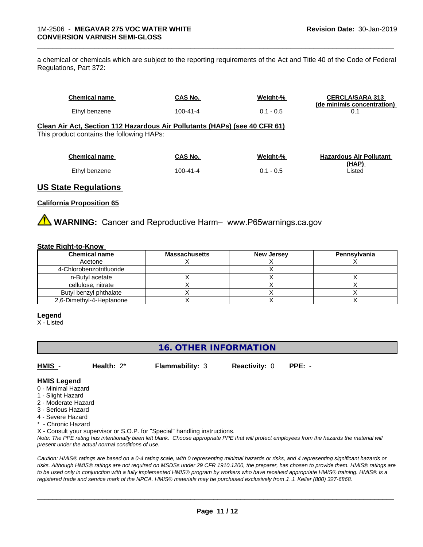a chemical or chemicals which are subject to the reporting requirements of the Act and Title 40 of the Code of Federal Regulations, Part 372:

| <b>Chemical name</b>                                                       | CAS No.        | Weight-%    | <b>CERCLA/SARA 313</b><br>(de minimis concentration) |
|----------------------------------------------------------------------------|----------------|-------------|------------------------------------------------------|
| Ethyl benzene                                                              | $100 - 41 - 4$ | $0.1 - 0.5$ |                                                      |
| Clean Air Act, Section 112 Hazardous Air Pollutants (HAPs) (see 40 CFR 61) |                |             |                                                      |
| This product contains the following HAPs:                                  |                |             |                                                      |

\_\_\_\_\_\_\_\_\_\_\_\_\_\_\_\_\_\_\_\_\_\_\_\_\_\_\_\_\_\_\_\_\_\_\_\_\_\_\_\_\_\_\_\_\_\_\_\_\_\_\_\_\_\_\_\_\_\_\_\_\_\_\_\_\_\_\_\_\_\_\_\_\_\_\_\_\_\_\_\_\_\_\_\_\_\_\_\_\_\_\_\_\_

| <b>Chemical name</b> | CAS No.  | Weight-%    | <b>Hazardous Air Pollutant</b> |
|----------------------|----------|-------------|--------------------------------|
|                      |          |             | (HAP)                          |
| Ethyl benzene        | 100-41-4 | $0.1 - 0.5$ | ∟isted                         |

# **US State Regulations**

#### **California Proposition 65**

**WARNING:** Cancer and Reproductive Harm– www.P65warnings.ca.gov

#### **State Right-to-Know**

| <b>Chemical name</b>     | <b>Massachusetts</b> | <b>New Jersey</b> | Pennsylvania |
|--------------------------|----------------------|-------------------|--------------|
| Acetone                  |                      |                   |              |
| 4-Chlorobenzotrifluoride |                      |                   |              |
| n-Butyl acetate          |                      |                   |              |
| cellulose, nitrate       |                      |                   |              |
| Butyl benzyl phthalate   |                      |                   |              |
| 2,6-Dimethyl-4-Heptanone |                      |                   |              |

#### **Legend**

X - Listed

# **16. OTHER INFORMATION**

**HMIS** - **Health:** 2\* **Flammability:** 3 **Reactivity:** 0 **PPE:** -

#### **HMIS Legend**

- 0 Minimal Hazard
- 1 Slight Hazard
- 2 Moderate Hazard
- 3 Serious Hazard
- 4 Severe Hazard
- \* Chronic Hazard

X - Consult your supervisor or S.O.P. for "Special" handling instructions.

*Note: The PPE rating has intentionally been left blank. Choose appropriate PPE that will protect employees from the hazards the material will present under the actual normal conditions of use.*

*Caution: HMISÒ ratings are based on a 0-4 rating scale, with 0 representing minimal hazards or risks, and 4 representing significant hazards or risks. Although HMISÒ ratings are not required on MSDSs under 29 CFR 1910.1200, the preparer, has chosen to provide them. HMISÒ ratings are to be used only in conjunction with a fully implemented HMISÒ program by workers who have received appropriate HMISÒ training. HMISÒ is a registered trade and service mark of the NPCA. HMISÒ materials may be purchased exclusively from J. J. Keller (800) 327-6868.*